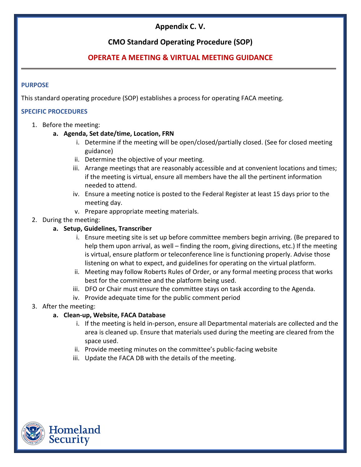# **Appendix C. V.**

### **CMO Standard Operating Procedure (SOP)**

## **OPERATE A MEETING & VIRTUAL MEETING GUIDANCE**

#### **PURPOSE**

This standard operating procedure (SOP) establishes a process for operating FACA meeting.

#### **SPECIFIC PROCEDURES**

- 1. Before the meeting:
	- **a. Agenda, Set date/time, Location, FRN** 
		- i. Determine if the meeting will be open/closed/partially closed. (See for closed meeting guidance)
		- ii. Determine the objective of your meeting.
		- iii. Arrange meetings that are reasonably accessible and at convenient locations and times; if the meeting is virtual, ensure all members have the all the pertinent information needed to attend.
		- iv. Ensure a meeting notice is posted to the Federal Register at least 15 days prior to the meeting day.
		- v. Prepare appropriate meeting materials.
- 2. During the meeting:

### **a. Setup, Guidelines, Transcriber**

- i. Ensure meeting site is set up before committee members begin arriving. (Be prepared to help them upon arrival, as well – finding the room, giving directions, etc.) If the meeting is virtual, ensure platform or teleconference line is functioning properly. Advise those listening on what to expect, and guidelines for operating on the virtual platform.
- ii. Meeting may follow Roberts Rules of Order, or any formal meeting process that works best for the committee and the platform being used.
- iii. DFO or Chair must ensure the committee stays on task according to the Agenda.
- iv. Provide adequate time for the public comment period

### 3. After the meeting:

### **a. Clean-up, Website, FACA Database**

- i. If the meeting is held in-person, ensure all Departmental materials are collected and the area is cleaned up. Ensure that materials used during the meeting are cleared from the space used.
- ii. Provide meeting minutes on the committee's public-facing website
- iii. Update the FACA DB with the details of the meeting.